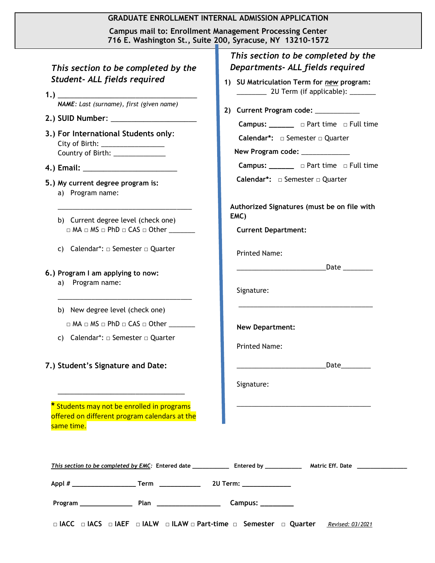|                                                       |                                                                                                                                                                                                    | 716 E. Washington St., Suite 200, Syracuse, NY 13210-1572                                                                                                                                                                                                                                                                                                                      |
|-------------------------------------------------------|----------------------------------------------------------------------------------------------------------------------------------------------------------------------------------------------------|--------------------------------------------------------------------------------------------------------------------------------------------------------------------------------------------------------------------------------------------------------------------------------------------------------------------------------------------------------------------------------|
| Student- ALL fields required                          | This section to be completed by the<br>NAME: Last (surname), first (given name)<br>3.) For International Students only:<br>City of Birth: ____________________<br>Country of Birth: ______________ | This section to be completed by the<br>Departments- ALL fields required<br>1) SU Matriculation Term for new program:<br>20 Term (if applicable): _______<br>2) Current Program code: ____________<br>Campus: ________ □ Part time □ Full time<br>Calendar*: □ Semester □ Quarter<br>New Program code: ____________<br><b>Campus:</b> _______ $\Box$ Part time $\Box$ Full time |
| 5.) My current degree program is:<br>a) Program name: |                                                                                                                                                                                                    | Calendar*: □ Semester □ Quarter                                                                                                                                                                                                                                                                                                                                                |
|                                                       | b) Current degree level (check one)<br>$\Box$ MA $\Box$ MS $\Box$ PhD $\Box$ CAS $\Box$ Other ________                                                                                             | Authorized Signatures (must be on file with<br>EMC)<br><b>Current Department:</b>                                                                                                                                                                                                                                                                                              |
|                                                       | c) Calendar*: $\Box$ Semester $\Box$ Quarter                                                                                                                                                       | <b>Printed Name:</b>                                                                                                                                                                                                                                                                                                                                                           |
| 6.) Program I am applying to now:<br>a) Program name: |                                                                                                                                                                                                    | Signature:                                                                                                                                                                                                                                                                                                                                                                     |
|                                                       | b) New degree level (check one)<br>$\Box$ MA $\Box$ MS $\Box$ PhD $\Box$ CAS $\Box$ Other $\_\_$<br>c) Calendar*: $\Box$ Semester $\Box$ Quarter                                                   | <b>New Department:</b><br><b>Printed Name:</b>                                                                                                                                                                                                                                                                                                                                 |
| 7.) Student's Signature and Date:                     |                                                                                                                                                                                                    | _Date__________<br><u> 1989 - Johann Barn, mars eta bainar eta </u>                                                                                                                                                                                                                                                                                                            |
|                                                       | the control of the control of the control of the control of the control of the control of                                                                                                          | Signature:                                                                                                                                                                                                                                                                                                                                                                     |
| same time.                                            | * Students may not be enrolled in programs<br>offered on different program calendars at the                                                                                                        |                                                                                                                                                                                                                                                                                                                                                                                |
|                                                       |                                                                                                                                                                                                    |                                                                                                                                                                                                                                                                                                                                                                                |
|                                                       |                                                                                                                                                                                                    |                                                                                                                                                                                                                                                                                                                                                                                |

Г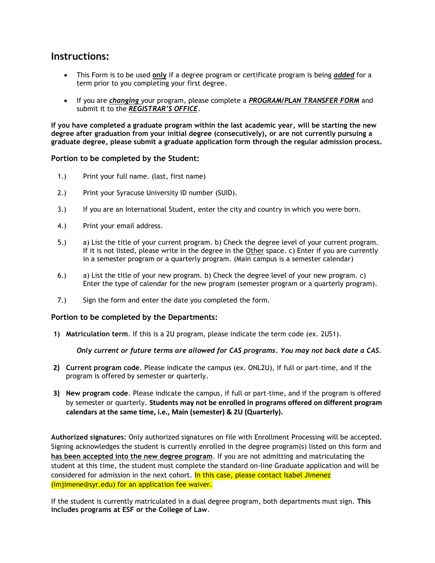## **Instructions:**

- This Form is to be used **only** if a degree program or certificate program is being *added* for a term prior to you completing your first degree.
- If you are *changing* your program, please complete a *PROGRAM/PLAN TRANSFER FORM* and submit it to the *REGISTRAR'S OFFICE*.

**If you have completed a graduate program within the last academic year, will be starting the new degree after graduation from your initial degree (consecutively), or are not currently pursuing a graduate degree, please submit a graduate application form through the regular admission process.**

## **Portion to be completed by the Student:**

- 1.) Print your full name. (last, first name)
- 2.) Print your Syracuse University ID number (SUID).
- 3.) If you are an International Student, enter the city and country in which you were born.
- 4.) Print your email address.
- 5.) a) List the title of your current program. b) Check the degree level of your current program. If it is not listed, please write in the degree in the Other space. c) Enter if you are currently in a semester program or a quarterly program. (Main campus is a semester calendar)
- 6.) a) List the title of your new program. b) Check the degree level of your new program. c) Enter the type of calendar for the new program (semester program or a quarterly program).
- 7.) Sign the form and enter the date you completed the form.

## **Portion to be completed by the Departments:**

**1) Matriculation term**. If this is a 2U program, please indicate the term code (ex. 2US1).

*Only current or future terms are allowed for CAS programs. You may not back date a CAS.*

- **2) Current program code**. Please indicate the campus (ex. ONL2U), if full or part-time, and if the program is offered by semester or quarterly.
- **3) New program code**. Please indicate the campus, if full or part-time, and if the program is offered by semester or quarterly. **Students may not be enrolled in programs offered on different program calendars at the same time, i.e., Main (semester) & 2U (Quarterly).**

**Authorized signatures**: Only authorized signatures on file with Enrollment Processing will be accepted. Signing acknowledges the student is currently enrolled in the degree program(s) listed on this form and **has been accepted into the new degree program**. If you are not admitting and matriculating the student at this time, the student must complete the standard on-line Graduate application and will be considered for admission in the next cohort. In this case, please contact Isabel Jimenez (imjimene@syr.edu) for an application fee waiver.

If the student is currently matriculated in a dual degree program, both departments must sign. **This includes programs at ESF or the College of Law**.